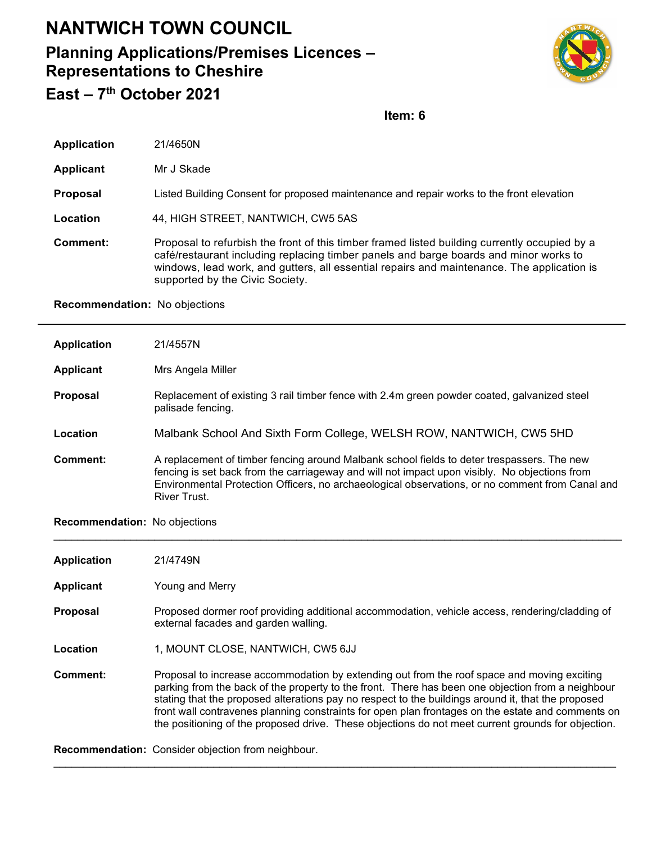## **NANTWICH TOWN COUNCIL**

## **Planning Applications/Premises Licences – Representations to Cheshire East – 7th October 2021**



**Item: 6**

| <b>Application</b> | 21/4650N                                                                                                                                                                                                                                                                                                                |
|--------------------|-------------------------------------------------------------------------------------------------------------------------------------------------------------------------------------------------------------------------------------------------------------------------------------------------------------------------|
| <b>Applicant</b>   | Mr J Skade                                                                                                                                                                                                                                                                                                              |
| <b>Proposal</b>    | Listed Building Consent for proposed maintenance and repair works to the front elevation                                                                                                                                                                                                                                |
| Location           | 44, HIGH STREET, NANTWICH, CW5 5AS                                                                                                                                                                                                                                                                                      |
| Comment:           | Proposal to refurbish the front of this timber framed listed building currently occupied by a<br>café/restaurant including replacing timber panels and barge boards and minor works to<br>windows, lead work, and gutters, all essential repairs and maintenance. The application is<br>supported by the Civic Society. |

**Recommendation:** No objections

| <b>Application</b>            | 21/4557N                                                                                                                                                                                                                                                                                                                                                                                                                                                                                                          |
|-------------------------------|-------------------------------------------------------------------------------------------------------------------------------------------------------------------------------------------------------------------------------------------------------------------------------------------------------------------------------------------------------------------------------------------------------------------------------------------------------------------------------------------------------------------|
| <b>Applicant</b>              | Mrs Angela Miller                                                                                                                                                                                                                                                                                                                                                                                                                                                                                                 |
| <b>Proposal</b>               | Replacement of existing 3 rail timber fence with 2.4m green powder coated, galvanized steel<br>palisade fencing.                                                                                                                                                                                                                                                                                                                                                                                                  |
| Location                      | Malbank School And Sixth Form College, WELSH ROW, NANTWICH, CW5 5HD                                                                                                                                                                                                                                                                                                                                                                                                                                               |
| <b>Comment:</b>               | A replacement of timber fencing around Malbank school fields to deter trespassers. The new<br>fencing is set back from the carriageway and will not impact upon visibly. No objections from<br>Environmental Protection Officers, no archaeological observations, or no comment from Canal and<br>River Trust.                                                                                                                                                                                                    |
| Recommendation: No objections |                                                                                                                                                                                                                                                                                                                                                                                                                                                                                                                   |
| <b>Application</b>            | 21/4749N                                                                                                                                                                                                                                                                                                                                                                                                                                                                                                          |
| <b>Applicant</b>              | Young and Merry                                                                                                                                                                                                                                                                                                                                                                                                                                                                                                   |
| Proposal                      | Proposed dormer roof providing additional accommodation, vehicle access, rendering/cladding of<br>external facades and garden walling.                                                                                                                                                                                                                                                                                                                                                                            |
| Location                      | 1, MOUNT CLOSE, NANTWICH, CW5 6JJ                                                                                                                                                                                                                                                                                                                                                                                                                                                                                 |
| <b>Comment:</b>               | Proposal to increase accommodation by extending out from the roof space and moving exciting<br>parking from the back of the property to the front. There has been one objection from a neighbour<br>stating that the proposed alterations pay no respect to the buildings around it, that the proposed<br>front wall contravenes planning constraints for open plan frontages on the estate and comments on<br>the positioning of the proposed drive. These objections do not meet current grounds for objection. |
|                               | Oranged along the locations for the control of the control of the control of the control of the control of the                                                                                                                                                                                                                                                                                                                                                                                                    |

\_\_\_\_\_\_\_\_\_\_\_\_\_\_\_\_\_\_\_\_\_\_\_\_\_\_\_\_\_\_\_\_\_\_\_\_\_\_\_\_\_\_\_\_\_\_\_\_\_\_\_\_\_\_\_\_\_\_\_\_\_\_\_\_\_\_\_\_\_\_\_\_\_\_\_\_\_\_\_\_\_\_\_\_\_\_\_\_\_\_\_\_\_\_\_

**Recommendation:** Consider objection from neighbour.